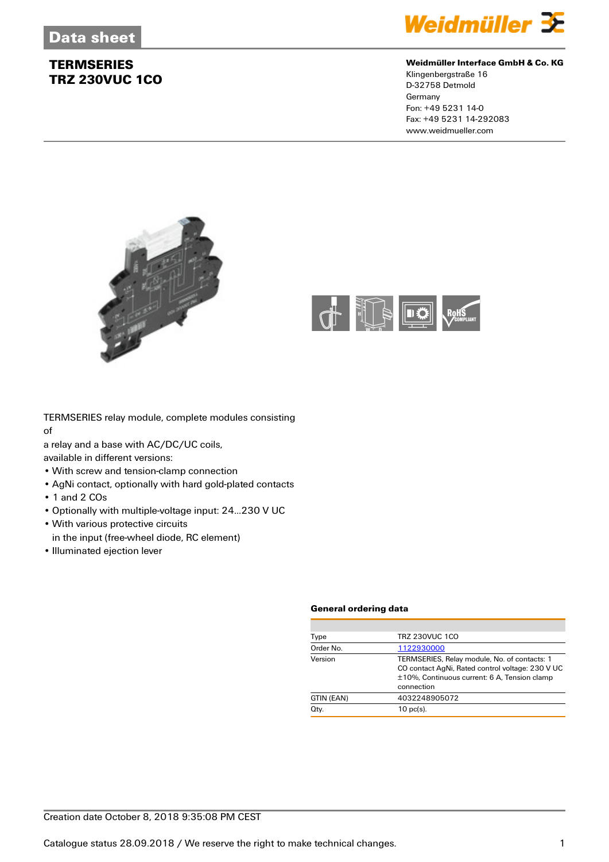

#### **Weidmüller Interface GmbH & Co. KG**

Klingenbergstraße 16 D-32758 Detmold Germany Fon: +49 5231 14-0 Fax: +49 5231 14-292083 www.weidmueller.com





TERMSERIES relay module, complete modules consisting of

a relay and a base with AC/DC/UC coils,

available in different versions:

- With screw and tension-clamp connection
- AgNi contact, optionally with hard gold-plated contacts
- 1 and 2 COs
- Optionally with multiple-voltage input: 24...230 V UC
- With various protective circuits
- in the input (free-wheel diode, RC element)
- Illuminated ejection lever

#### **General ordering data**

| Type       | <b>TRZ 230VUC 1CO</b>                                                                                                                                          |
|------------|----------------------------------------------------------------------------------------------------------------------------------------------------------------|
| Order No.  | 1122930000                                                                                                                                                     |
| Version    | TERMSERIES, Relay module, No. of contacts: 1<br>CO contact AgNi, Rated control voltage: 230 V UC<br>±10%, Continuous current: 6 A, Tension clamp<br>connection |
| GTIN (EAN) | 4032248905072                                                                                                                                                  |
| Qty.       | $10$ pc(s).                                                                                                                                                    |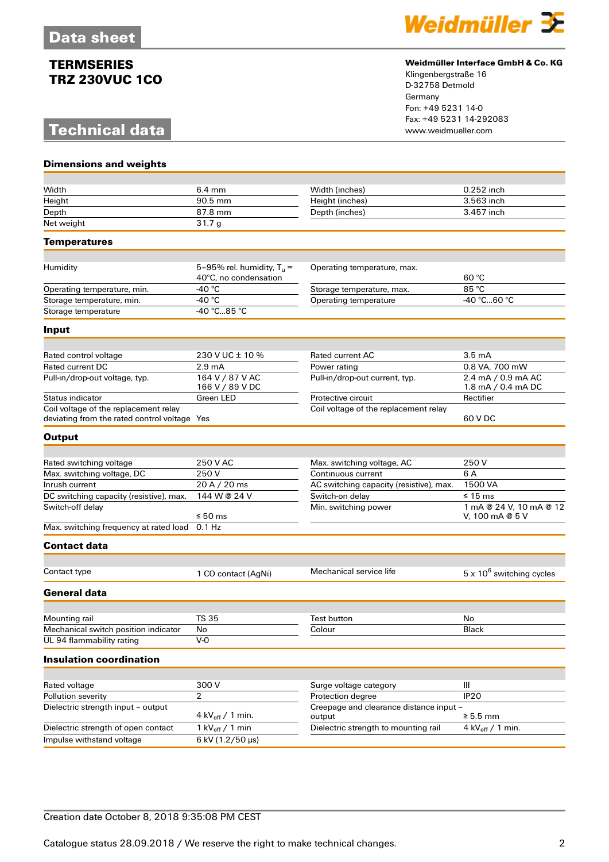# **Technical data**



#### **Weidmüller Interface GmbH & Co. KG**

Klingenbergstraße 16 D-32758 Detmold Germany Fon: +49 5231 14-0 Fax: +49 5231 14-292083

| <b>Dimensions and weights</b>                |                                                       |                                                   |                                            |
|----------------------------------------------|-------------------------------------------------------|---------------------------------------------------|--------------------------------------------|
|                                              |                                                       |                                                   |                                            |
| Width                                        | $6.4 \text{ mm}$                                      | Width (inches)                                    | 0.252 inch                                 |
| Height                                       | 90.5 mm                                               | Height (inches)                                   | 3.563 inch                                 |
| Depth                                        | 87.8 mm                                               | Depth (inches)                                    | 3.457 inch                                 |
| Net weight                                   | 31.7 <sub>q</sub>                                     |                                                   |                                            |
| <b>Temperatures</b>                          |                                                       |                                                   |                                            |
|                                              |                                                       |                                                   |                                            |
| Humidity                                     | 5-95% rel. humidity, $T_u =$<br>40°C, no condensation | Operating temperature, max.                       | 60 °C                                      |
| Operating temperature, min.                  | -40 $^{\circ}$ C                                      | Storage temperature, max.                         | 85 °C                                      |
| Storage temperature, min.                    | -40 $^{\circ}$ C                                      | Operating temperature                             | -40 °C60 °C                                |
| Storage temperature                          | -40 °C85 °C                                           |                                                   |                                            |
| Input                                        |                                                       |                                                   |                                            |
|                                              |                                                       |                                                   |                                            |
| Rated control voltage                        | 230 V UC ± 10 %                                       | <b>Rated current AC</b>                           | 3.5 <sub>mA</sub>                          |
| Rated current DC                             | 2.9 <sub>mA</sub>                                     | Power rating                                      | 0.8 VA, 700 mW                             |
| Pull-in/drop-out voltage, typ.               | 164 V / 87 V AC<br>166 V / 89 V DC                    | Pull-in/drop-out current, typ.                    | 2.4 mA / 0.9 mA AC<br>1.8 mA / 0.4 mA DC   |
| Status indicator                             | Green LED                                             | Protective circuit                                | Rectifier                                  |
| Coil voltage of the replacement relay        |                                                       | Coil voltage of the replacement relay             |                                            |
| deviating from the rated control voltage Yes |                                                       |                                                   | 60 V DC                                    |
| <b>Output</b>                                |                                                       |                                                   |                                            |
|                                              |                                                       |                                                   |                                            |
| Rated switching voltage                      | 250 V AC                                              | Max. switching voltage, AC                        | 250 V                                      |
| Max. switching voltage, DC                   | 250V                                                  | Continuous current                                | 6 A                                        |
| Inrush current                               | 20 A / 20 ms                                          | AC switching capacity (resistive), max.           | 1500 VA                                    |
| DC switching capacity (resistive), max.      | 144 W @ 24 V                                          | Switch-on delay                                   | ≤ 15 ms                                    |
| Switch-off delay                             | ≤ 50 ms                                               | Min. switching power                              | 1 mA @ 24 V, 10 mA @ 12<br>V, 100 mA @ 5 V |
| Max. switching frequency at rated load       | $0.1$ Hz                                              |                                                   |                                            |
|                                              |                                                       |                                                   |                                            |
| <b>Contact data</b>                          |                                                       |                                                   |                                            |
| Contact type                                 | 1 CO contact (AgNi)                                   | Mechanical service life                           | $5 \times 10^6$ switching cycles           |
| <b>General data</b>                          |                                                       |                                                   |                                            |
|                                              |                                                       |                                                   |                                            |
| Mounting rail                                | <b>TS 35</b>                                          | Test button                                       | $\operatorname{\mathsf{No}}$               |
| Mechanical switch position indicator         | No                                                    | Colour                                            | Black                                      |
| UL 94 flammability rating                    | $V-0$                                                 |                                                   |                                            |
| <b>Insulation coordination</b>               |                                                       |                                                   |                                            |
|                                              |                                                       |                                                   |                                            |
| Rated voltage                                | 300 V                                                 | Surge voltage category                            | $\mathop{\rm III}$                         |
| Pollution severity                           | $\overline{2}$                                        | Protection degree                                 | IP <sub>20</sub>                           |
| Dielectric strength input - output           | 4 kV $_{\text{eff}}$ / 1 min.                         | Creepage and clearance distance input -<br>output | $\geq 5.5$ mm                              |
| Dielectric strength of open contact          | 1 kV $_{\text{eff}}$ / 1 min                          | Dielectric strength to mounting rail              | 4 kV $_{\text{eff}}$ / 1 min.              |
| Impulse withstand voltage                    | 6 kV (1.2/50 µs)                                      |                                                   |                                            |
|                                              |                                                       |                                                   |                                            |

### Creation date October 8, 2018 9:35:08 PM CEST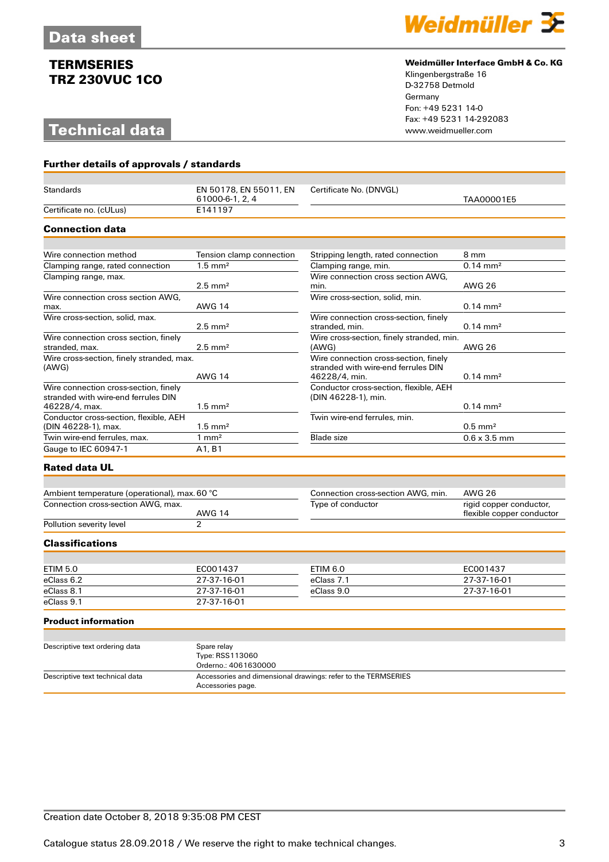# **Technical data**

**Further details of approvals / standards**



#### **Weidmüller Interface GmbH & Co. KG**

Klingenbergstraße 16 D-32758 Detmold Germany Fon: +49 5231 14-0 Fax: +49 5231 14-292083

| <b>Standards</b>                                                                              | EN 50178, EN 55011, EN<br>61000-6-1, 2, 4   | Certificate No. (DNVGL)                                                                       | TAA00001E5                                           |
|-----------------------------------------------------------------------------------------------|---------------------------------------------|-----------------------------------------------------------------------------------------------|------------------------------------------------------|
| Certificate no. (cULus)                                                                       | E141197                                     |                                                                                               |                                                      |
| <b>Connection data</b>                                                                        |                                             |                                                                                               |                                                      |
|                                                                                               |                                             |                                                                                               |                                                      |
| Wire connection method                                                                        | Tension clamp connection                    | Stripping length, rated connection                                                            | 8 mm                                                 |
| Clamping range, rated connection                                                              | $1.5$ mm <sup>2</sup>                       | Clamping range, min.                                                                          | $0.14 \, \text{mm}^2$                                |
| Clamping range, max.                                                                          | $2.5 \text{ mm}^2$                          | Wire connection cross section AWG.<br>min.                                                    | <b>AWG 26</b>                                        |
| Wire connection cross section AWG,<br>max.                                                    | <b>AWG 14</b>                               | Wire cross-section, solid, min.                                                               | $0.14 \, \text{mm}^2$                                |
| Wire cross-section, solid, max.                                                               | $2.5 \text{ mm}^2$                          | Wire connection cross-section, finely<br>stranded, min.                                       | $0.14 \text{ mm}^2$                                  |
| Wire connection cross section, finely<br>stranded, max.                                       | $2.5 \text{ mm}^2$                          | Wire cross-section, finely stranded, min.<br>(AWG)                                            | <b>AWG 26</b>                                        |
| Wire cross-section, finely stranded, max.<br>(AWG)                                            | <b>AWG 14</b>                               | Wire connection cross-section, finely<br>stranded with wire-end ferrules DIN<br>46228/4, min. | $0.14 \, \text{mm}^2$                                |
| Wire connection cross-section, finely<br>stranded with wire-end ferrules DIN<br>46228/4, max. | $1.5 \text{ mm}^2$                          | Conductor cross-section, flexible, AEH<br>(DIN 46228-1), min.                                 | $0.14 \, \text{mm}^2$                                |
| Conductor cross-section, flexible, AEH<br>(DIN 46228-1), max.                                 | $1.5 \text{ mm}^2$                          | Twin wire-end ferrules, min.                                                                  | $0.5$ mm <sup>2</sup>                                |
| Twin wire-end ferrules, max.                                                                  | $1 \text{ mm}^2$                            | <b>Blade size</b>                                                                             | $0.6 \times 3.5$ mm                                  |
| <b>Gauge to IEC 60947-1</b>                                                                   | A1, B1                                      |                                                                                               |                                                      |
| <b>Rated data UL</b>                                                                          |                                             |                                                                                               |                                                      |
|                                                                                               |                                             |                                                                                               |                                                      |
| Ambient temperature (operational), max. 60 °C                                                 |                                             | Connection cross-section AWG, min.                                                            | <b>AWG 26</b>                                        |
| Connection cross-section AWG, max.                                                            | <b>AWG 14</b>                               | Type of conductor                                                                             | rigid copper conductor,<br>flexible copper conductor |
| Pollution severity level                                                                      | $\overline{2}$                              |                                                                                               |                                                      |
| <b>Classifications</b>                                                                        |                                             |                                                                                               |                                                      |
|                                                                                               |                                             |                                                                                               |                                                      |
| <b>ETIM 5.0</b>                                                                               | EC001437                                    | <b>ETIM 6.0</b>                                                                               | EC001437                                             |
| eClass 6.2                                                                                    | 27-37-16-01                                 | eClass 7.1                                                                                    | 27-37-16-01                                          |
| eClass 8.1                                                                                    | 27-37-16-01                                 | eClass 9.0                                                                                    | 27-37-16-01                                          |
| eClass 9.1                                                                                    | 27-37-16-01                                 |                                                                                               |                                                      |
| <b>Product information</b>                                                                    |                                             |                                                                                               |                                                      |
|                                                                                               |                                             |                                                                                               |                                                      |
| Descriptive text ordering data                                                                | Spare relay<br>Type: RSS113060<br>100100000 |                                                                                               |                                                      |

|                                 | Orderno.: 4061630000                                                               |
|---------------------------------|------------------------------------------------------------------------------------|
| Descriptive text technical data | Accessories and dimensional drawings: refer to the TERMSERIES<br>Accessories page. |
|                                 |                                                                                    |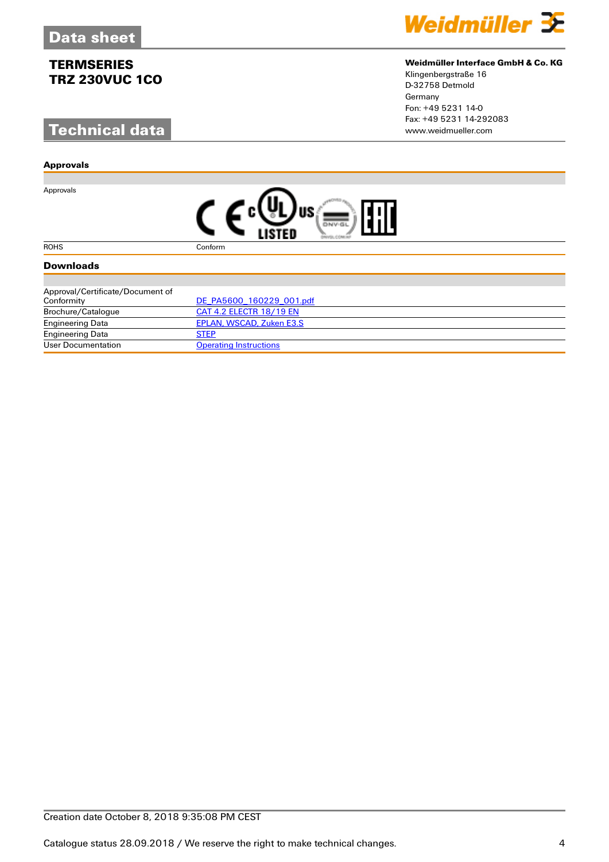# **Technical data**

#### **Approvals**

Approvals



#### **Weidmüller Interface GmbH & Co. KG**

Klingenbergstraße 16 D-32758 Detmold Germany Fon: +49 5231 14-0 Fax: +49 5231 14-292083

| HI |
|----|
|----|

ROHS Conform

#### **Downloads**

| Approval/Certificate/Document of |                               |
|----------------------------------|-------------------------------|
| Conformity                       | DE PA5600 160229 001.pdf      |
| Brochure/Catalogue               | CAT 4.2 ELECTR 18/19 EN       |
| <b>Engineering Data</b>          | EPLAN, WSCAD, Zuken E3.S      |
| <b>Engineering Data</b>          | <b>STEP</b>                   |
| User Documentation               | <b>Operating Instructions</b> |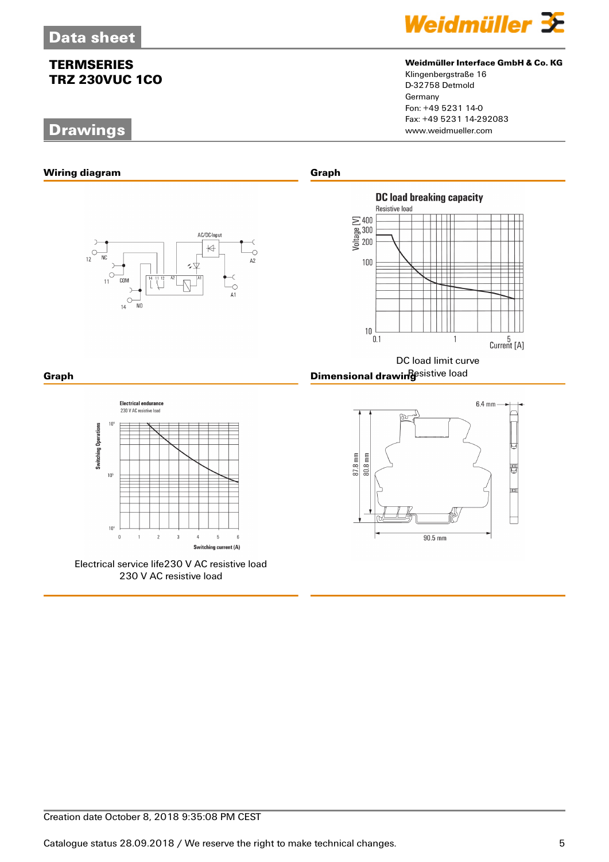# **Drawings**

# **Wiring diagram Graph**





#### **Weidmüller Interface GmbH & Co. KG**

Klingenbergstraße 16 D-32758 Detmold Germany Fon: +49 5231 14-0 Fax: +49 5231 14-292083



**Electrical endurance** 230 V AC resistive load  $10$ **Switching Operations**  $10<sup>5</sup>$  $10^{4}$  $\overline{a}$  $\overline{3}$  $\overline{4}$  $\overline{5}$  $\mathbf{g}$  $\overline{2}$ Switching current (A)

Electrical service life230 V AC resistive load 230 V AC resistive load

DC load limit curve **Graph** Resistive load **Dimensional drawing**